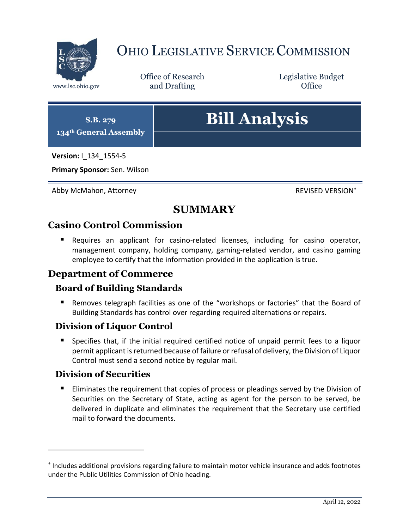

# OHIO LEGISLATIVE SERVICE COMMISSION

Office of Research www.lsc.ohio.gov **and Drafting Office** 

Legislative Budget



**Primary Sponsor:** Sen. Wilson

Abby McMahon, Attorney **Review Abby McMahon, Attorney** 

# **SUMMARY**

## **Casino Control Commission**

 Requires an applicant for casino-related licenses, including for casino operator, management company, holding company, gaming-related vendor, and casino gaming employee to certify that the information provided in the application is true.

## **Department of Commerce**

## **Board of Building Standards**

**Removes telegraph facilities as one of the "workshops or factories" that the Board of** Building Standards has control over regarding required alternations or repairs.

## **Division of Liquor Control**

 Specifies that, if the initial required certified notice of unpaid permit fees to a liquor permit applicant is returned because of failure or refusal of delivery, the Division of Liquor Control must send a second notice by regular mail.

## **Division of Securities**

 $\overline{a}$ 

**Eliminates the requirement that copies of process or pleadings served by the Division of** Securities on the Secretary of State, acting as agent for the person to be served, be delivered in duplicate and eliminates the requirement that the Secretary use certified mail to forward the documents.

<sup>\*</sup> Includes additional provisions regarding failure to maintain motor vehicle insurance and adds footnotes under the Public Utilities Commission of Ohio heading.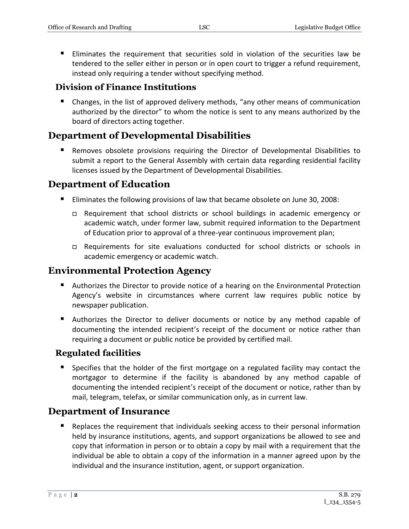Eliminates the requirement that securities sold in violation of the securities law be tendered to the seller either in person or in open court to trigger a refund requirement, instead only requiring a tender without specifying method.

#### **Division of Finance Institutions**

■ Changes, in the list of approved delivery methods, "any other means of communication authorized by the director" to whom the notice is sent to any means authorized by the board of directors acting together.

## **Department of Developmental Disabilities**

 Removes obsolete provisions requiring the Director of Developmental Disabilities to submit a report to the General Assembly with certain data regarding residential facility licenses issued by the Department of Developmental Disabilities.

## **Department of Education**

- Eliminates the following provisions of law that became obsolete on June 30, 2008:
	- Requirement that school districts or school buildings in academic emergency or academic watch, under former law, submit required information to the Department of Education prior to approval of a three-year continuous improvement plan;
	- Requirements for site evaluations conducted for school districts or schools in academic emergency or academic watch.

## **Environmental Protection Agency**

- Authorizes the Director to provide notice of a hearing on the Environmental Protection Agency's website in circumstances where current law requires public notice by newspaper publication.
- Authorizes the Director to deliver documents or notice by any method capable of documenting the intended recipient's receipt of the document or notice rather than requiring a document or public notice be provided by certified mail.

#### **Regulated facilities**

 Specifies that the holder of the first mortgage on a regulated facility may contact the mortgagor to determine if the facility is abandoned by any method capable of documenting the intended recipient's receipt of the document or notice, rather than by mail, telegram, telefax, or similar communication only, as in current law.

## **Department of Insurance**

 Replaces the requirement that individuals seeking access to their personal information held by insurance institutions, agents, and support organizations be allowed to see and copy that information in person or to obtain a copy by mail with a requirement that the individual be able to obtain a copy of the information in a manner agreed upon by the individual and the insurance institution, agent, or support organization.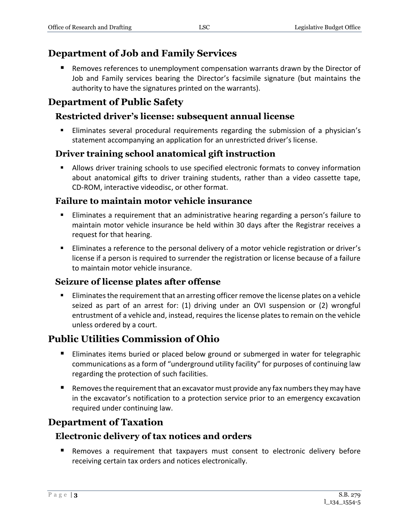## **Department of Job and Family Services**

 Removes references to unemployment compensation warrants drawn by the Director of Job and Family services bearing the Director's facsimile signature (but maintains the authority to have the signatures printed on the warrants).

## **Department of Public Safety**

## **Restricted driver's license: subsequent annual license**

 Eliminates several procedural requirements regarding the submission of a physician's statement accompanying an application for an unrestricted driver's license.

## **Driver training school anatomical gift instruction**

 Allows driver training schools to use specified electronic formats to convey information about anatomical gifts to driver training students, rather than a video cassette tape, CD-ROM, interactive videodisc, or other format.

#### **Failure to maintain motor vehicle insurance**

- Eliminates a requirement that an administrative hearing regarding a person's failure to maintain motor vehicle insurance be held within 30 days after the Registrar receives a request for that hearing.
- Eliminates a reference to the personal delivery of a motor vehicle registration or driver's license if a person is required to surrender the registration or license because of a failure to maintain motor vehicle insurance.

#### **Seizure of license plates after offense**

**Eliminates the requirement that an arresting officer remove the license plates on a vehicle** seized as part of an arrest for: (1) driving under an OVI suspension or (2) wrongful entrustment of a vehicle and, instead, requires the license plates to remain on the vehicle unless ordered by a court.

## **Public Utilities Commission of Ohio**

- **Eliminates items buried or placed below ground or submerged in water for telegraphic** communications as a form of "underground utility facility" for purposes of continuing law regarding the protection of such facilities.
- **E** Removes the requirement that an excavator must provide any fax numbers they may have in the excavator's notification to a protection service prior to an emergency excavation required under continuing law.

## **Department of Taxation**

## **Electronic delivery of tax notices and orders**

 Removes a requirement that taxpayers must consent to electronic delivery before receiving certain tax orders and notices electronically.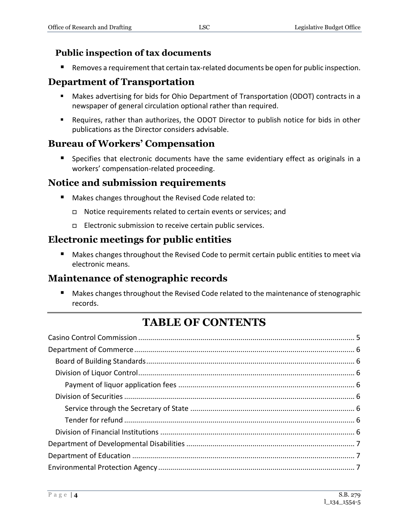## **Public inspection of tax documents**

Removes a requirement that certain tax-related documents be open for public inspection.

## **Department of Transportation**

- Makes advertising for bids for Ohio Department of Transportation (ODOT) contracts in a newspaper of general circulation optional rather than required.
- Requires, rather than authorizes, the ODOT Director to publish notice for bids in other publications as the Director considers advisable.

## **Bureau of Workers' Compensation**

 Specifies that electronic documents have the same evidentiary effect as originals in a workers' compensation-related proceeding.

## **Notice and submission requirements**

- **Makes changes throughout the Revised Code related to:** 
	- Notice requirements related to certain events or services; and
	- □ Electronic submission to receive certain public services.

## **Electronic meetings for public entities**

 Makes changes throughout the Revised Code to permit certain public entities to meet via electronic means.

## **Maintenance of stenographic records**

 Makes changes throughout the Revised Code related to the maintenance of stenographic records.

# **TABLE OF CONTENTS**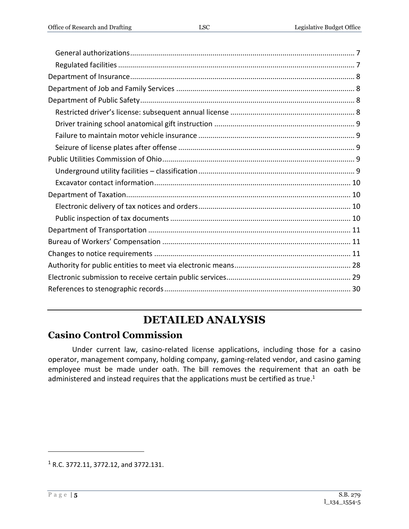[References to stenographic records.............................................................................................](#page-29-0) 30

# **DETAILED ANALYSIS**

# <span id="page-4-0"></span>**Casino Control Commission**

Under current law, casino-related license applications, including those for a casino operator, management company, holding company, gaming-related vendor, and casino gaming employee must be made under oath. The bill removes the requirement that an oath be administered and instead requires that the applications must be certified as true.<sup>1</sup>

<sup>1</sup> R.C. 3772.11, 3772.12, and 3772.131.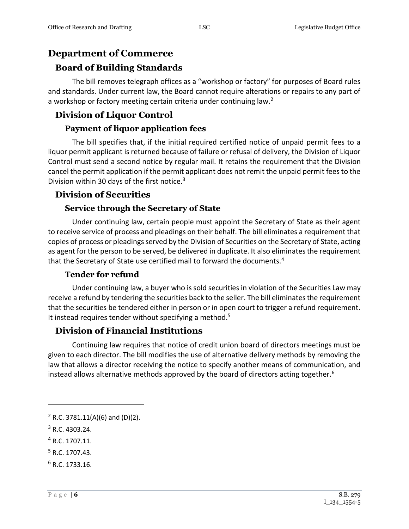## <span id="page-5-0"></span>**Department of Commerce**

## <span id="page-5-1"></span>**Board of Building Standards**

The bill removes telegraph offices as a "workshop or factory" for purposes of Board rules and standards. Under current law, the Board cannot require alterations or repairs to any part of a workshop or factory meeting certain criteria under continuing law.<sup>2</sup>

## <span id="page-5-2"></span>**Division of Liquor Control**

#### **Payment of liquor application fees**

<span id="page-5-3"></span>The bill specifies that, if the initial required certified notice of unpaid permit fees to a liquor permit applicant is returned because of failure or refusal of delivery, the Division of Liquor Control must send a second notice by regular mail. It retains the requirement that the Division cancel the permit application if the permit applicant does not remit the unpaid permit fees to the Division within 30 days of the first notice. $3$ 

#### <span id="page-5-4"></span>**Division of Securities**

#### **Service through the Secretary of State**

<span id="page-5-5"></span>Under continuing law, certain people must appoint the Secretary of State as their agent to receive service of process and pleadings on their behalf. The bill eliminates a requirement that copies of process or pleadings served by the Division of Securities on the Secretary of State, acting as agent for the person to be served, be delivered in duplicate. It also eliminates the requirement that the Secretary of State use certified mail to forward the documents.<sup>4</sup>

#### **Tender for refund**

<span id="page-5-6"></span>Under continuing law, a buyer who is sold securities in violation of the Securities Law may receive a refund by tendering the securities back to the seller. The bill eliminates the requirement that the securities be tendered either in person or in open court to trigger a refund requirement. It instead requires tender without specifying a method.<sup>5</sup>

#### <span id="page-5-7"></span>**Division of Financial Institutions**

Continuing law requires that notice of credit union board of directors meetings must be given to each director. The bill modifies the use of alternative delivery methods by removing the law that allows a director receiving the notice to specify another means of communication, and instead allows alternative methods approved by the board of directors acting together.<sup>6</sup>

 $2$  R.C. 3781.11(A)(6) and (D)(2).

<sup>3</sup> R.C. 4303.24.

<sup>4</sup> R.C. 1707.11.

<sup>5</sup> R.C. 1707.43.

 $6 R.C. 1733.16.$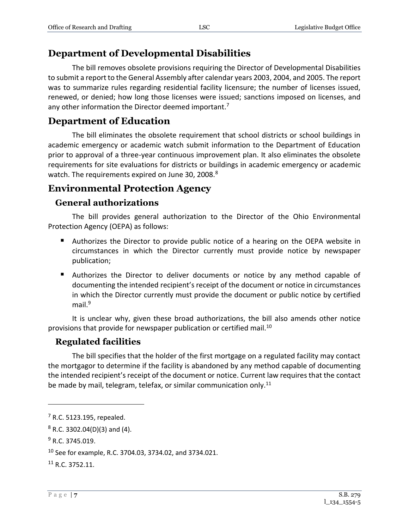## <span id="page-6-0"></span>**Department of Developmental Disabilities**

The bill removes obsolete provisions requiring the Director of Developmental Disabilities to submit a report to the General Assembly after calendar years 2003, 2004, and 2005. The report was to summarize rules regarding residential facility licensure; the number of licenses issued, renewed, or denied; how long those licenses were issued; sanctions imposed on licenses, and any other information the Director deemed important.<sup>7</sup>

## <span id="page-6-1"></span>**Department of Education**

The bill eliminates the obsolete requirement that school districts or school buildings in academic emergency or academic watch submit information to the Department of Education prior to approval of a three-year continuous improvement plan. It also eliminates the obsolete requirements for site evaluations for districts or buildings in academic emergency or academic watch. The requirements expired on June 30, 2008.<sup>8</sup>

## <span id="page-6-2"></span>**Environmental Protection Agency**

#### <span id="page-6-3"></span>**General authorizations**

The bill provides general authorization to the Director of the Ohio Environmental Protection Agency (OEPA) as follows:

- Authorizes the Director to provide public notice of a hearing on the OEPA website in circumstances in which the Director currently must provide notice by newspaper publication;
- **Authorizes the Director to deliver documents or notice by any method capable of** documenting the intended recipient's receipt of the document or notice in circumstances in which the Director currently must provide the document or public notice by certified mail.<sup>9</sup>

It is unclear why, given these broad authorizations, the bill also amends other notice provisions that provide for newspaper publication or certified mail.<sup>10</sup>

#### <span id="page-6-4"></span>**Regulated facilities**

The bill specifies that the holder of the first mortgage on a regulated facility may contact the mortgagor to determine if the facility is abandoned by any method capable of documenting the intended recipient's receipt of the document or notice. Current law requires that the contact be made by mail, telegram, telefax, or similar communication only.<sup>11</sup>

<sup>7</sup> R.C. 5123.195, repealed.

 $8$  R.C. 3302.04(D)(3) and (4).

 $9$  R.C. 3745.019.

<sup>10</sup> See for example, R.C. 3704.03, 3734.02, and 3734.021.

 $11$  R.C. 3752.11.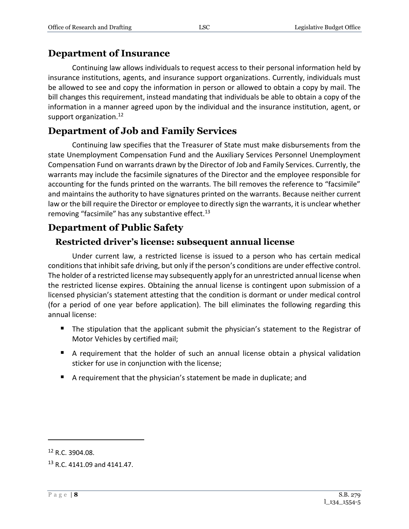## <span id="page-7-0"></span>**Department of Insurance**

Continuing law allows individuals to request access to their personal information held by insurance institutions, agents, and insurance support organizations. Currently, individuals must be allowed to see and copy the information in person or allowed to obtain a copy by mail. The bill changes this requirement, instead mandating that individuals be able to obtain a copy of the information in a manner agreed upon by the individual and the insurance institution, agent, or support organization.<sup>12</sup>

## <span id="page-7-1"></span>**Department of Job and Family Services**

Continuing law specifies that the Treasurer of State must make disbursements from the state Unemployment Compensation Fund and the Auxiliary Services Personnel Unemployment Compensation Fund on warrants drawn by the Director of Job and Family Services. Currently, the warrants may include the facsimile signatures of the Director and the employee responsible for accounting for the funds printed on the warrants. The bill removes the reference to "facsimile" and maintains the authority to have signatures printed on the warrants. Because neither current law or the bill require the Director or employee to directly sign the warrants, it is unclear whether removing "facsimile" has any substantive effect.<sup>13</sup>

## <span id="page-7-2"></span>**Department of Public Safety**

## <span id="page-7-3"></span>**Restricted driver's license: subsequent annual license**

Under current law, a restricted license is issued to a person who has certain medical conditions that inhibit safe driving, but only if the person's conditions are under effective control. The holder of a restricted license may subsequently apply for an unrestricted annual license when the restricted license expires. Obtaining the annual license is contingent upon submission of a licensed physician's statement attesting that the condition is dormant or under medical control (for a period of one year before application). The bill eliminates the following regarding this annual license:

- **The stipulation that the applicant submit the physician's statement to the Registrar of** Motor Vehicles by certified mail;
- A requirement that the holder of such an annual license obtain a physical validation sticker for use in conjunction with the license;
- A requirement that the physician's statement be made in duplicate; and

<sup>12</sup> R.C. 3904.08.

<sup>13</sup> R.C. 4141.09 and 4141.47.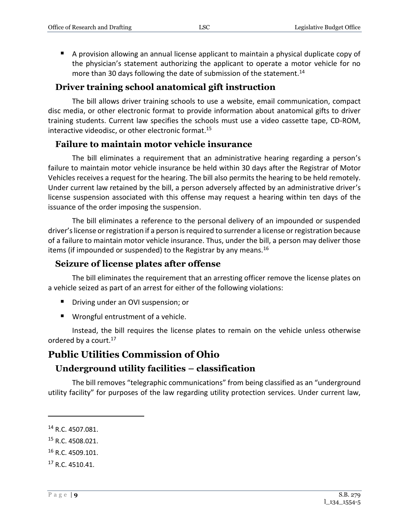A provision allowing an annual license applicant to maintain a physical duplicate copy of the physician's statement authorizing the applicant to operate a motor vehicle for no more than 30 days following the date of submission of the statement.<sup>14</sup>

#### <span id="page-8-0"></span>**Driver training school anatomical gift instruction**

The bill allows driver training schools to use a website, email communication, compact disc media, or other electronic format to provide information about anatomical gifts to driver training students. Current law specifies the schools must use a video cassette tape, CD-ROM, interactive videodisc, or other electronic format.<sup>15</sup>

#### <span id="page-8-1"></span>**Failure to maintain motor vehicle insurance**

The bill eliminates a requirement that an administrative hearing regarding a person's failure to maintain motor vehicle insurance be held within 30 days after the Registrar of Motor Vehicles receives a request for the hearing. The bill also permits the hearing to be held remotely. Under current law retained by the bill, a person adversely affected by an administrative driver's license suspension associated with this offense may request a hearing within ten days of the issuance of the order imposing the suspension.

The bill eliminates a reference to the personal delivery of an impounded or suspended driver's license or registration if a person is required to surrender a license or registration because of a failure to maintain motor vehicle insurance. Thus, under the bill, a person may deliver those items (if impounded or suspended) to the Registrar by any means.<sup>16</sup>

#### <span id="page-8-2"></span>**Seizure of license plates after offense**

The bill eliminates the requirement that an arresting officer remove the license plates on a vehicle seized as part of an arrest for either of the following violations:

- **P** Driving under an OVI suspension; or
- Wrongful entrustment of a vehicle.

Instead, the bill requires the license plates to remain on the vehicle unless otherwise ordered by a court.<sup>17</sup>

## <span id="page-8-3"></span>**Public Utilities Commission of Ohio**

## <span id="page-8-4"></span>**Underground utility facilities – classification**

The bill removes "telegraphic communications" from being classified as an "underground utility facility" for purposes of the law regarding utility protection services. Under current law,

 $\overline{a}$ 

<sup>15</sup> R.C. 4508.021.

<sup>&</sup>lt;sup>14</sup> R.C. 4507.081.

<sup>&</sup>lt;sup>16</sup> R.C. 4509.101.

<sup>17</sup> R.C. 4510.41.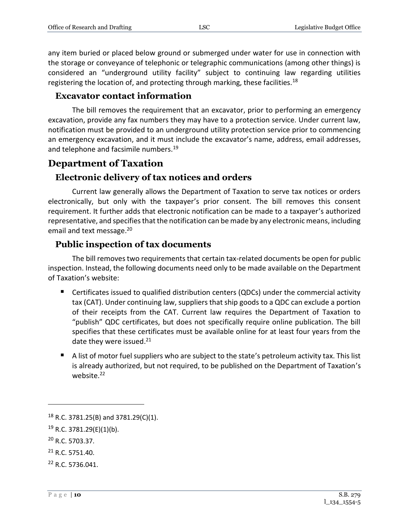any item buried or placed below ground or submerged under water for use in connection with the storage or conveyance of telephonic or telegraphic communications (among other things) is considered an "underground utility facility" subject to continuing law regarding utilities registering the location of, and protecting through marking, these facilities.<sup>18</sup>

#### <span id="page-9-0"></span>**Excavator contact information**

The bill removes the requirement that an excavator, prior to performing an emergency excavation, provide any fax numbers they may have to a protection service. Under current law, notification must be provided to an underground utility protection service prior to commencing an emergency excavation, and it must include the excavator's name, address, email addresses, and telephone and facsimile numbers.<sup>19</sup>

#### <span id="page-9-1"></span>**Department of Taxation**

#### <span id="page-9-2"></span>**Electronic delivery of tax notices and orders**

Current law generally allows the Department of Taxation to serve tax notices or orders electronically, but only with the taxpayer's prior consent. The bill removes this consent requirement. It further adds that electronic notification can be made to a taxpayer's authorized representative, and specifies that the notification can be made by any electronic means, including email and text message.<sup>20</sup>

#### <span id="page-9-3"></span>**Public inspection of tax documents**

The bill removes two requirements that certain tax-related documents be open for public inspection. Instead, the following documents need only to be made available on the Department of Taxation's website:

- Certificates issued to qualified distribution centers (QDCs) under the commercial activity tax (CAT). Under continuing law, suppliers that ship goods to a QDC can exclude a portion of their receipts from the CAT. Current law requires the Department of Taxation to "publish" QDC certificates, but does not specifically require online publication. The bill specifies that these certificates must be available online for at least four years from the date they were issued.<sup>21</sup>
- A list of motor fuel suppliers who are subject to the state's petroleum activity tax. This list is already authorized, but not required, to be published on the Department of Taxation's website.<sup>22</sup>

<sup>18</sup> R.C. 3781.25(B) and 3781.29(C)(1).

 $19$  R.C. 3781.29(E)(1)(b).

<sup>20</sup> R.C. 5703.37.

<sup>21</sup> R.C. 5751.40.

<sup>22</sup> R.C. 5736.041.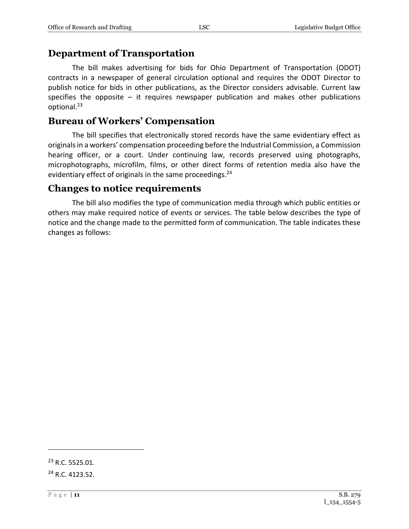#### <span id="page-10-0"></span>**Department of Transportation**

The bill makes advertising for bids for Ohio Department of Transportation (ODOT) contracts in a newspaper of general circulation optional and requires the ODOT Director to publish notice for bids in other publications, as the Director considers advisable. Current law specifies the opposite  $-$  it requires newspaper publication and makes other publications optional.<sup>23</sup>

## <span id="page-10-1"></span>**Bureau of Workers' Compensation**

The bill specifies that electronically stored records have the same evidentiary effect as originals in a workers' compensation proceeding before the Industrial Commission, a Commission hearing officer, or a court. Under continuing law, records preserved using photographs, microphotographs, microfilm, films, or other direct forms of retention media also have the evidentiary effect of originals in the same proceedings.<sup>24</sup>

#### <span id="page-10-2"></span>**Changes to notice requirements**

The bill also modifies the type of communication media through which public entities or others may make required notice of events or services. The table below describes the type of notice and the change made to the permitted form of communication. The table indicates these changes as follows:

<sup>23</sup> R.C. 5525.01.

<sup>&</sup>lt;sup>24</sup> R.C. 4123.52.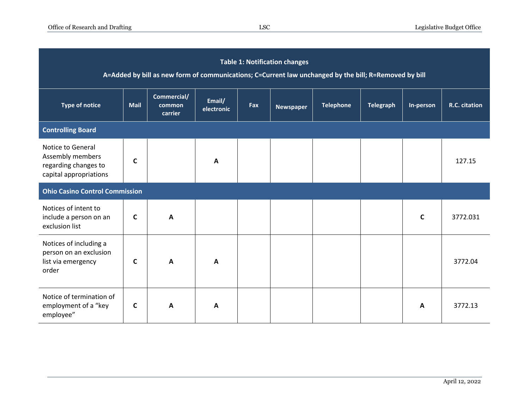| <b>Table 1: Notification changes</b><br>A=Added by bill as new form of communications; C=Current law unchanged by the bill; R=Removed by bill |             |                                  |                      |     |                  |                  |                  |              |               |  |  |
|-----------------------------------------------------------------------------------------------------------------------------------------------|-------------|----------------------------------|----------------------|-----|------------------|------------------|------------------|--------------|---------------|--|--|
| <b>Type of notice</b>                                                                                                                         | <b>Mail</b> | Commercial/<br>common<br>carrier | Email/<br>electronic | Fax | <b>Newspaper</b> | <b>Telephone</b> | <b>Telegraph</b> | In-person    | R.C. citation |  |  |
| <b>Controlling Board</b>                                                                                                                      |             |                                  |                      |     |                  |                  |                  |              |               |  |  |
| Notice to General<br>Assembly members<br>regarding changes to<br>capital appropriations                                                       | $\mathbf c$ |                                  | A                    |     |                  |                  |                  |              | 127.15        |  |  |
| <b>Ohio Casino Control Commission</b>                                                                                                         |             |                                  |                      |     |                  |                  |                  |              |               |  |  |
| Notices of intent to<br>include a person on an<br>exclusion list                                                                              | C           | A                                |                      |     |                  |                  |                  | $\mathsf{C}$ | 3772.031      |  |  |
| Notices of including a<br>person on an exclusion<br>list via emergency<br>order                                                               | C           | A                                | $\mathbf{A}$         |     |                  |                  |                  |              | 3772.04       |  |  |
| Notice of termination of<br>employment of a "key<br>employee"                                                                                 | C           | A                                | A                    |     |                  |                  |                  | A            | 3772.13       |  |  |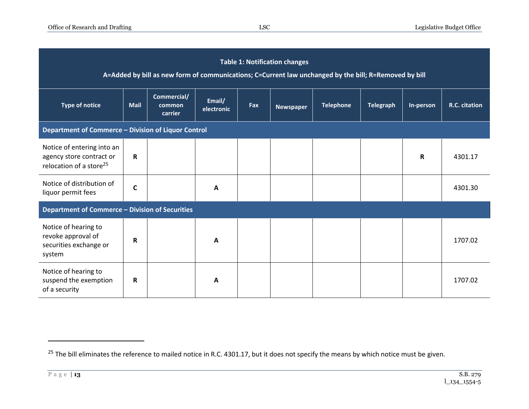| <b>Table 1: Notification changes</b><br>A=Added by bill as new form of communications; C=Current law unchanged by the bill; R=Removed by bill |             |                                  |                      |     |                  |                  |                  |           |               |  |
|-----------------------------------------------------------------------------------------------------------------------------------------------|-------------|----------------------------------|----------------------|-----|------------------|------------------|------------------|-----------|---------------|--|
| <b>Type of notice</b>                                                                                                                         | <b>Mail</b> | Commercial/<br>common<br>carrier | Email/<br>electronic | Fax | <b>Newspaper</b> | <b>Telephone</b> | <b>Telegraph</b> | In-person | R.C. citation |  |
| Department of Commerce - Division of Liquor Control                                                                                           |             |                                  |                      |     |                  |                  |                  |           |               |  |
| Notice of entering into an<br>agency store contract or<br>relocation of a store <sup>25</sup>                                                 | R           |                                  |                      |     |                  |                  |                  | R         | 4301.17       |  |
| Notice of distribution of<br>liquor permit fees                                                                                               | C           |                                  | A                    |     |                  |                  |                  |           | 4301.30       |  |
| Department of Commerce - Division of Securities                                                                                               |             |                                  |                      |     |                  |                  |                  |           |               |  |
| Notice of hearing to<br>revoke approval of<br>securities exchange or<br>system                                                                | R           |                                  | A                    |     |                  |                  |                  |           | 1707.02       |  |
| Notice of hearing to<br>suspend the exemption<br>of a security                                                                                | R           |                                  | A                    |     |                  |                  |                  |           | 1707.02       |  |

<sup>&</sup>lt;sup>25</sup> The bill eliminates the reference to mailed notice in R.C. 4301.17, but it does not specify the means by which notice must be given.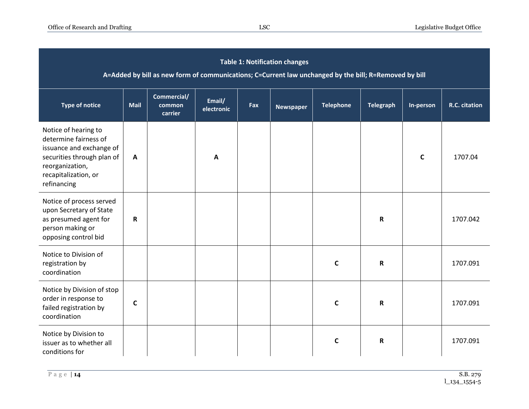| <b>Table 1: Notification changes</b><br>A=Added by bill as new form of communications; C=Current law unchanged by the bill; R=Removed by bill                     |              |                                  |                      |     |                  |                  |                  |              |               |  |
|-------------------------------------------------------------------------------------------------------------------------------------------------------------------|--------------|----------------------------------|----------------------|-----|------------------|------------------|------------------|--------------|---------------|--|
| <b>Type of notice</b>                                                                                                                                             | <b>Mail</b>  | Commercial/<br>common<br>carrier | Email/<br>electronic | Fax | <b>Newspaper</b> | <b>Telephone</b> | <b>Telegraph</b> | In-person    | R.C. citation |  |
| Notice of hearing to<br>determine fairness of<br>issuance and exchange of<br>securities through plan of<br>reorganization,<br>recapitalization, or<br>refinancing | $\mathbf{A}$ |                                  | $\mathbf{A}$         |     |                  |                  |                  | $\mathsf{C}$ | 1707.04       |  |
| Notice of process served<br>upon Secretary of State<br>as presumed agent for<br>person making or<br>opposing control bid                                          | R            |                                  |                      |     |                  |                  | $\mathsf R$      |              | 1707.042      |  |
| Notice to Division of<br>registration by<br>coordination                                                                                                          |              |                                  |                      |     |                  | $\mathbf c$      | $\mathbf R$      |              | 1707.091      |  |
| Notice by Division of stop<br>order in response to<br>failed registration by<br>coordination                                                                      | $\mathbf c$  |                                  |                      |     |                  | C                | R                |              | 1707.091      |  |
| Notice by Division to<br>issuer as to whether all<br>conditions for                                                                                               |              |                                  |                      |     |                  | $\mathbf c$      | $\mathsf R$      |              | 1707.091      |  |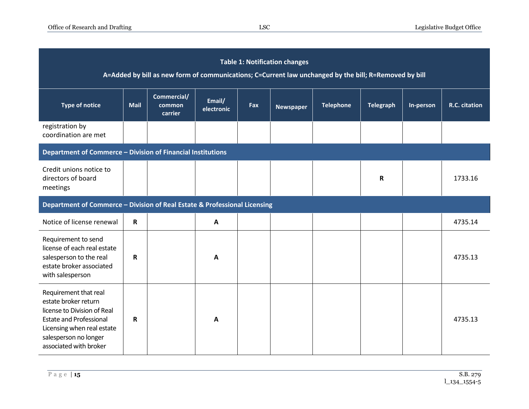| <b>Table 1: Notification changes</b><br>A=Added by bill as new form of communications; C=Current law unchanged by the bill; R=Removed by bill                                                   |                                                                           |                                  |                      |     |                  |                  |                  |           |               |  |  |
|-------------------------------------------------------------------------------------------------------------------------------------------------------------------------------------------------|---------------------------------------------------------------------------|----------------------------------|----------------------|-----|------------------|------------------|------------------|-----------|---------------|--|--|
| <b>Type of notice</b>                                                                                                                                                                           | <b>Mail</b>                                                               | Commercial/<br>common<br>carrier | Email/<br>electronic | Fax | <b>Newspaper</b> | <b>Telephone</b> | <b>Telegraph</b> | In-person | R.C. citation |  |  |
| registration by<br>coordination are met                                                                                                                                                         |                                                                           |                                  |                      |     |                  |                  |                  |           |               |  |  |
| Department of Commerce - Division of Financial Institutions                                                                                                                                     |                                                                           |                                  |                      |     |                  |                  |                  |           |               |  |  |
| Credit unions notice to<br>directors of board<br>meetings                                                                                                                                       |                                                                           |                                  |                      |     |                  |                  | R                |           | 1733.16       |  |  |
|                                                                                                                                                                                                 | Department of Commerce - Division of Real Estate & Professional Licensing |                                  |                      |     |                  |                  |                  |           |               |  |  |
| Notice of license renewal                                                                                                                                                                       | R                                                                         |                                  | $\mathbf{A}$         |     |                  |                  |                  |           | 4735.14       |  |  |
| Requirement to send<br>license of each real estate<br>salesperson to the real<br>estate broker associated<br>with salesperson                                                                   | R                                                                         |                                  | A                    |     |                  |                  |                  |           | 4735.13       |  |  |
| Requirement that real<br>estate broker return<br>license to Division of Real<br><b>Estate and Professional</b><br>Licensing when real estate<br>salesperson no longer<br>associated with broker | R                                                                         |                                  | A                    |     |                  |                  |                  |           | 4735.13       |  |  |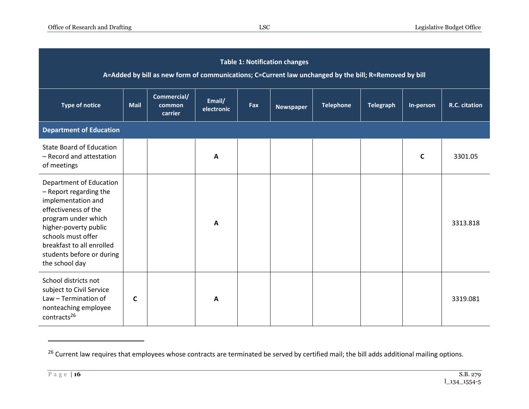| <b>Table 1: Notification changes</b><br>A=Added by bill as new form of communications; C=Current law unchanged by the bill; R=Removed by bill                                                                                                     |             |                                  |                      |     |                  |                  |                  |              |               |  |
|---------------------------------------------------------------------------------------------------------------------------------------------------------------------------------------------------------------------------------------------------|-------------|----------------------------------|----------------------|-----|------------------|------------------|------------------|--------------|---------------|--|
| <b>Type of notice</b>                                                                                                                                                                                                                             | <b>Mail</b> | Commercial/<br>common<br>carrier | Email/<br>electronic | Fax | <b>Newspaper</b> | <b>Telephone</b> | <b>Telegraph</b> | In-person    | R.C. citation |  |
| <b>Department of Education</b>                                                                                                                                                                                                                    |             |                                  |                      |     |                  |                  |                  |              |               |  |
| <b>State Board of Education</b><br>- Record and attestation<br>of meetings                                                                                                                                                                        |             |                                  | A                    |     |                  |                  |                  | $\mathsf{C}$ | 3301.05       |  |
| Department of Education<br>- Report regarding the<br>implementation and<br>effectiveness of the<br>program under which<br>higher-poverty public<br>schools must offer<br>breakfast to all enrolled<br>students before or during<br>the school day |             |                                  | $\mathbf{A}$         |     |                  |                  |                  |              | 3313.818      |  |
| School districts not<br>subject to Civil Service<br>Law - Termination of<br>nonteaching employee<br>contracts <sup>26</sup>                                                                                                                       | C           |                                  | A                    |     |                  |                  |                  |              | 3319.081      |  |

<sup>&</sup>lt;sup>26</sup> Current law requires that employees whose contracts are terminated be served by certified mail; the bill adds additional mailing options.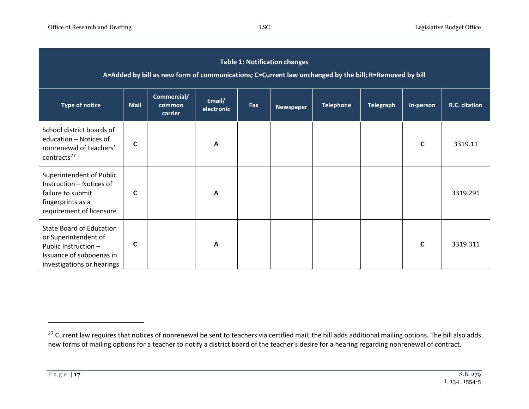| <b>Table 1: Notification changes</b><br>A=Added by bill as new form of communications; C=Current law unchanged by the bill; R=Removed by bill |              |                                  |                      |            |                  |                  |                  |              |               |  |
|-----------------------------------------------------------------------------------------------------------------------------------------------|--------------|----------------------------------|----------------------|------------|------------------|------------------|------------------|--------------|---------------|--|
| <b>Type of notice</b>                                                                                                                         | <b>Mail</b>  | Commercial/<br>common<br>carrier | Email/<br>electronic | <b>Fax</b> | <b>Newspaper</b> | <b>Telephone</b> | <b>Telegraph</b> | In-person    | R.C. citation |  |
| School district boards of<br>education - Notices of<br>nonrenewal of teachers'<br>contracts <sup>27</sup>                                     | C            |                                  | $\mathbf{A}$         |            |                  |                  |                  | $\mathsf{C}$ | 3319.11       |  |
| Superintendent of Public<br>Instruction - Notices of<br>failure to submit<br>fingerprints as a<br>requirement of licensure                    | $\mathbf{C}$ |                                  | $\mathbf{A}$         |            |                  |                  |                  |              | 3319.291      |  |
| <b>State Board of Education</b><br>or Superintendent of<br>Public Instruction -<br>Issuance of subpoenas in<br>investigations or hearings     | C            |                                  | $\mathbf{A}$         |            |                  |                  |                  | $\mathsf{C}$ | 3319.311      |  |

<sup>&</sup>lt;sup>27</sup> Current law requires that notices of nonrenewal be sent to teachers via certified mail; the bill adds additional mailing options. The bill also adds new forms of mailing options for a teacher to notify a district board of the teacher's desire for a hearing regarding nonrenewal of contract.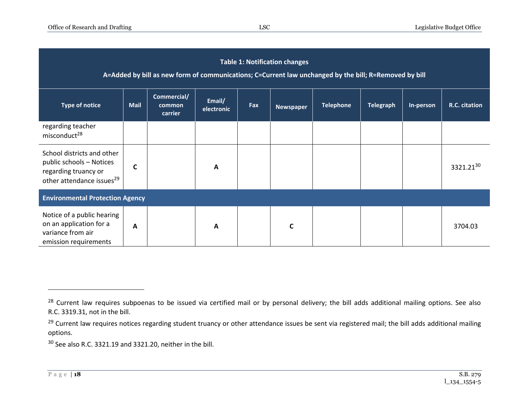| <b>Table 1: Notification changes</b><br>A=Added by bill as new form of communications; C=Current law unchanged by the bill; R=Removed by bill |              |                                  |                      |     |                  |                  |                  |           |                       |  |
|-----------------------------------------------------------------------------------------------------------------------------------------------|--------------|----------------------------------|----------------------|-----|------------------|------------------|------------------|-----------|-----------------------|--|
| <b>Type of notice</b>                                                                                                                         | <b>Mail</b>  | Commercial/<br>common<br>carrier | Email/<br>electronic | Fax | <b>Newspaper</b> | <b>Telephone</b> | <b>Telegraph</b> | In-person | R.C. citation         |  |
| regarding teacher<br>misconduct <sup>28</sup>                                                                                                 |              |                                  |                      |     |                  |                  |                  |           |                       |  |
| School districts and other<br>public schools - Notices<br>regarding truancy or<br>other attendance issues <sup>29</sup>                       | C            |                                  | A                    |     |                  |                  |                  |           | 3321.21 <sup>30</sup> |  |
| <b>Environmental Protection Agency</b>                                                                                                        |              |                                  |                      |     |                  |                  |                  |           |                       |  |
| Notice of a public hearing<br>on an application for a<br>variance from air<br>emission requirements                                           | $\mathbf{A}$ |                                  | $\mathbf{A}$         |     |                  |                  |                  |           | 3704.03               |  |

<sup>30</sup> See also R.C. 3321.19 and 3321.20, neither in the bill.

<sup>&</sup>lt;sup>28</sup> Current law requires subpoenas to be issued via certified mail or by personal delivery; the bill adds additional mailing options. See also R.C. 3319.31, not in the bill.

<sup>&</sup>lt;sup>29</sup> Current law requires notices regarding student truancy or other attendance issues be sent via registered mail; the bill adds additional mailing options.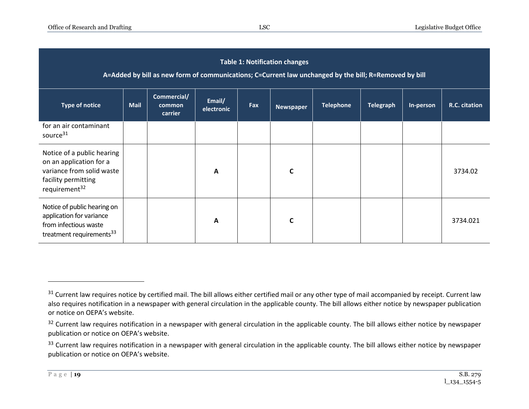| <b>Table 1: Notification changes</b><br>A=Added by bill as new form of communications; C=Current law unchanged by the bill; R=Removed by bill |             |                                  |                      |     |                  |                  |                  |           |               |  |
|-----------------------------------------------------------------------------------------------------------------------------------------------|-------------|----------------------------------|----------------------|-----|------------------|------------------|------------------|-----------|---------------|--|
| <b>Type of notice</b>                                                                                                                         | <b>Mail</b> | Commercial/<br>common<br>carrier | Email/<br>electronic | Fax | <b>Newspaper</b> | <b>Telephone</b> | <b>Telegraph</b> | In-person | R.C. citation |  |
| for an air contaminant<br>source <sup>31</sup>                                                                                                |             |                                  |                      |     |                  |                  |                  |           |               |  |
| Notice of a public hearing<br>on an application for a<br>variance from solid waste<br>facility permitting<br>requirement <sup>32</sup>        |             |                                  | A                    |     | $\mathsf{C}$     |                  |                  |           | 3734.02       |  |
| Notice of public hearing on<br>application for variance<br>from infectious waste<br>treatment requirements <sup>33</sup>                      |             |                                  | $\mathbf{A}$         |     |                  |                  |                  |           | 3734.021      |  |

<sup>&</sup>lt;sup>31</sup> Current law requires notice by certified mail. The bill allows either certified mail or any other type of mail accompanied by receipt. Current law also requires notification in a newspaper with general circulation in the applicable county. The bill allows either notice by newspaper publication or notice on OEPA's website.

<sup>&</sup>lt;sup>32</sup> Current law requires notification in a newspaper with general circulation in the applicable county. The bill allows either notice by newspaper publication or notice on OEPA's website.

<sup>&</sup>lt;sup>33</sup> Current law requires notification in a newspaper with general circulation in the applicable county. The bill allows either notice by newspaper publication or notice on OEPA's website.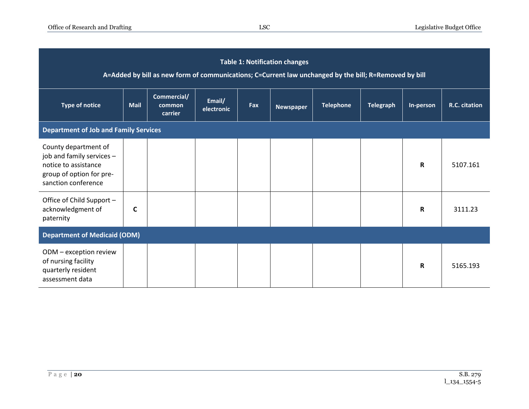| <b>Table 1: Notification changes</b><br>A=Added by bill as new form of communications; C=Current law unchanged by the bill; R=Removed by bill |                                              |                                  |                      |     |                  |                  |                  |             |               |  |
|-----------------------------------------------------------------------------------------------------------------------------------------------|----------------------------------------------|----------------------------------|----------------------|-----|------------------|------------------|------------------|-------------|---------------|--|
| <b>Type of notice</b>                                                                                                                         | <b>Mail</b>                                  | Commercial/<br>common<br>carrier | Email/<br>electronic | Fax | <b>Newspaper</b> | <b>Telephone</b> | <b>Telegraph</b> | In-person   | R.C. citation |  |
|                                                                                                                                               | <b>Department of Job and Family Services</b> |                                  |                      |     |                  |                  |                  |             |               |  |
| County department of<br>job and family services -<br>notice to assistance<br>group of option for pre-<br>sanction conference                  |                                              |                                  |                      |     |                  |                  |                  | R           | 5107.161      |  |
| Office of Child Support -<br>acknowledgment of<br>paternity                                                                                   | C                                            |                                  |                      |     |                  |                  |                  | R           | 3111.23       |  |
| <b>Department of Medicaid (ODM)</b>                                                                                                           |                                              |                                  |                      |     |                  |                  |                  |             |               |  |
| ODM - exception review<br>of nursing facility<br>quarterly resident<br>assessment data                                                        |                                              |                                  |                      |     |                  |                  |                  | $\mathbf R$ | 5165.193      |  |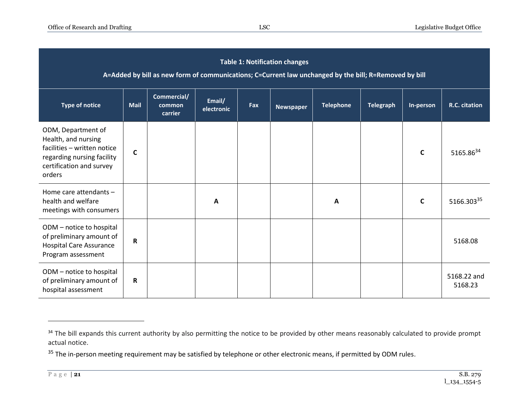| <b>Table 1: Notification changes</b><br>A=Added by bill as new form of communications; C=Current law unchanged by the bill; R=Removed by bill |             |                                  |                      |     |                  |                  |                  |              |                        |  |
|-----------------------------------------------------------------------------------------------------------------------------------------------|-------------|----------------------------------|----------------------|-----|------------------|------------------|------------------|--------------|------------------------|--|
| <b>Type of notice</b>                                                                                                                         | Mail        | Commercial/<br>common<br>carrier | Email/<br>electronic | Fax | <b>Newspaper</b> | <b>Telephone</b> | <b>Telegraph</b> | In-person    | R.C. citation          |  |
| ODM, Department of<br>Health, and nursing<br>facilities - written notice<br>regarding nursing facility<br>certification and survey<br>orders  | C           |                                  |                      |     |                  |                  |                  | $\mathsf{C}$ | 5165.8634              |  |
| Home care attendants -<br>health and welfare<br>meetings with consumers                                                                       |             |                                  | $\mathbf{A}$         |     |                  | A                |                  | C            | 5166.30335             |  |
| ODM - notice to hospital<br>of preliminary amount of<br><b>Hospital Care Assurance</b><br>Program assessment                                  | $\mathbf R$ |                                  |                      |     |                  |                  |                  |              | 5168.08                |  |
| ODM - notice to hospital<br>of preliminary amount of<br>hospital assessment                                                                   | R           |                                  |                      |     |                  |                  |                  |              | 5168.22 and<br>5168.23 |  |

<sup>&</sup>lt;sup>34</sup> The bill expands this current authority by also permitting the notice to be provided by other means reasonably calculated to provide prompt actual notice.

<sup>&</sup>lt;sup>35</sup> The in-person meeting requirement may be satisfied by telephone or other electronic means, if permitted by ODM rules.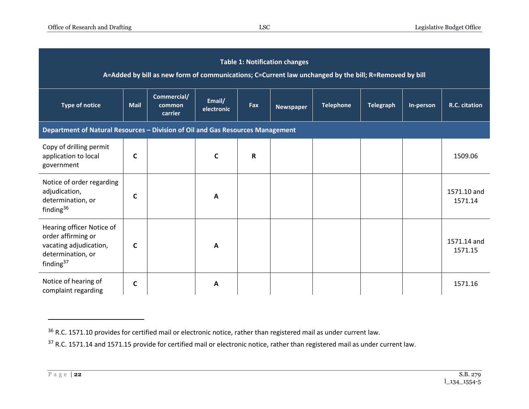| <b>Table 1: Notification changes</b><br>A=Added by bill as new form of communications; C=Current law unchanged by the bill; R=Removed by bill |                                                                                |                                  |                      |             |                  |                  |                  |           |                        |  |  |
|-----------------------------------------------------------------------------------------------------------------------------------------------|--------------------------------------------------------------------------------|----------------------------------|----------------------|-------------|------------------|------------------|------------------|-----------|------------------------|--|--|
| <b>Type of notice</b>                                                                                                                         | <b>Mail</b>                                                                    | Commercial/<br>common<br>carrier | Email/<br>electronic | Fax         | <b>Newspaper</b> | <b>Telephone</b> | <b>Telegraph</b> | In-person | R.C. citation          |  |  |
|                                                                                                                                               | Department of Natural Resources - Division of Oil and Gas Resources Management |                                  |                      |             |                  |                  |                  |           |                        |  |  |
| Copy of drilling permit<br>application to local<br>government                                                                                 | C                                                                              |                                  | $\mathsf{C}$         | $\mathbf R$ |                  |                  |                  |           | 1509.06                |  |  |
| Notice of order regarding<br>adjudication,<br>determination, or<br>finding <sup>36</sup>                                                      | C                                                                              |                                  | A                    |             |                  |                  |                  |           | 1571.10 and<br>1571.14 |  |  |
| Hearing officer Notice of<br>order affirming or<br>vacating adjudication,<br>determination, or<br>finding $37$                                | C                                                                              |                                  | A                    |             |                  |                  |                  |           | 1571.14 and<br>1571.15 |  |  |
| Notice of hearing of<br>complaint regarding                                                                                                   | C                                                                              |                                  | A                    |             |                  |                  |                  |           | 1571.16                |  |  |

<sup>&</sup>lt;sup>36</sup> R.C. 1571.10 provides for certified mail or electronic notice, rather than registered mail as under current law.

<sup>&</sup>lt;sup>37</sup> R.C. 1571.14 and 1571.15 provide for certified mail or electronic notice, rather than registered mail as under current law.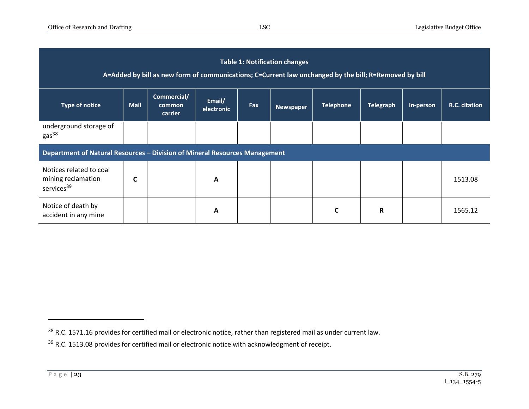|                                                                            |             | A=Added by bill as new form of communications; C=Current law unchanged by the bill; R=Removed by bill |                      |     | <b>Table 1: Notification changes</b> |                  |                  |           |               |
|----------------------------------------------------------------------------|-------------|-------------------------------------------------------------------------------------------------------|----------------------|-----|--------------------------------------|------------------|------------------|-----------|---------------|
| <b>Type of notice</b>                                                      | <b>Mail</b> | Commercial/<br>common<br>carrier                                                                      | Email/<br>electronic | Fax | <b>Newspaper</b>                     | <b>Telephone</b> | <b>Telegraph</b> | In-person | R.C. citation |
| underground storage of<br>gas <sup>38</sup>                                |             |                                                                                                       |                      |     |                                      |                  |                  |           |               |
| Department of Natural Resources - Division of Mineral Resources Management |             |                                                                                                       |                      |     |                                      |                  |                  |           |               |
| Notices related to coal<br>mining reclamation<br>services <sup>39</sup>    | C           |                                                                                                       | A                    |     |                                      |                  |                  |           | 1513.08       |
| Notice of death by<br>accident in any mine                                 |             |                                                                                                       | A                    |     |                                      | C                | $\mathbf R$      |           | 1565.12       |

<sup>&</sup>lt;sup>38</sup> R.C. 1571.16 provides for certified mail or electronic notice, rather than registered mail as under current law.

<sup>&</sup>lt;sup>39</sup> R.C. 1513.08 provides for certified mail or electronic notice with acknowledgment of receipt.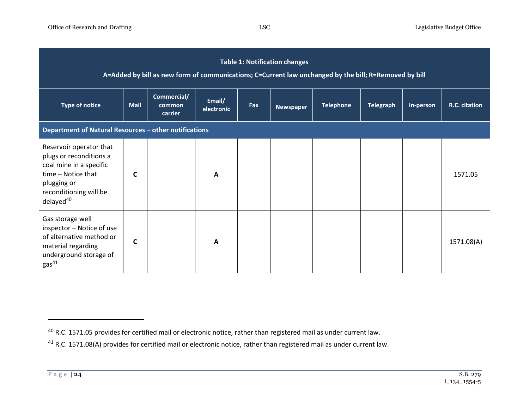|                                                                                                                                                                       |             |                                  |                      |     | <b>Table 1: Notification changes</b> | A=Added by bill as new form of communications; C=Current law unchanged by the bill; R=Removed by bill |                  |           |               |
|-----------------------------------------------------------------------------------------------------------------------------------------------------------------------|-------------|----------------------------------|----------------------|-----|--------------------------------------|-------------------------------------------------------------------------------------------------------|------------------|-----------|---------------|
| <b>Type of notice</b>                                                                                                                                                 | <b>Mail</b> | Commercial/<br>common<br>carrier | Email/<br>electronic | Fax | <b>Newspaper</b>                     | <b>Telephone</b>                                                                                      | <b>Telegraph</b> | In-person | R.C. citation |
| Department of Natural Resources - other notifications                                                                                                                 |             |                                  |                      |     |                                      |                                                                                                       |                  |           |               |
| Reservoir operator that<br>plugs or reconditions a<br>coal mine in a specific<br>time - Notice that<br>plugging or<br>reconditioning will be<br>delayed <sup>40</sup> | C           |                                  | A                    |     |                                      |                                                                                                       |                  |           | 1571.05       |
| Gas storage well<br>inspector - Notice of use<br>of alternative method or<br>material regarding<br>underground storage of<br>gas <sup>41</sup>                        | C           |                                  | A                    |     |                                      |                                                                                                       |                  |           | 1571.08(A)    |

<sup>40</sup> R.C. 1571.05 provides for certified mail or electronic notice, rather than registered mail as under current law.

<sup>&</sup>lt;sup>41</sup> R.C. 1571.08(A) provides for certified mail or electronic notice, rather than registered mail as under current law.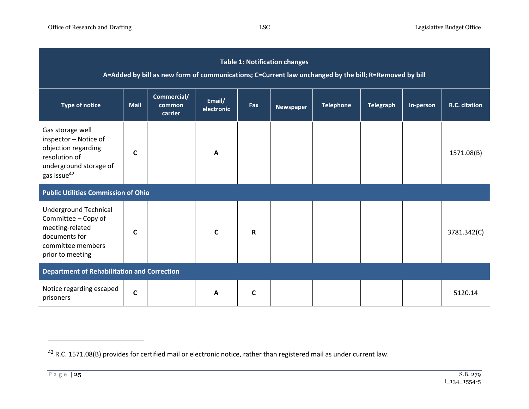|                                                                                                                                        |              | A=Added by bill as new form of communications; C=Current law unchanged by the bill; R=Removed by bill |                      |             | <b>Table 1: Notification changes</b> |                  |                  |           |               |
|----------------------------------------------------------------------------------------------------------------------------------------|--------------|-------------------------------------------------------------------------------------------------------|----------------------|-------------|--------------------------------------|------------------|------------------|-----------|---------------|
| <b>Type of notice</b>                                                                                                                  | <b>Mail</b>  | Commercial/<br>common<br>carrier                                                                      | Email/<br>electronic | Fax         | <b>Newspaper</b>                     | <b>Telephone</b> | <b>Telegraph</b> | In-person | R.C. citation |
| Gas storage well<br>inspector - Notice of<br>objection regarding<br>resolution of<br>underground storage of<br>gas issue <sup>42</sup> | C            |                                                                                                       | A                    |             |                                      |                  |                  |           | 1571.08(B)    |
| <b>Public Utilities Commission of Ohio</b>                                                                                             |              |                                                                                                       |                      |             |                                      |                  |                  |           |               |
| Underground Technical<br>Committee - Copy of<br>meeting-related<br>documents for<br>committee members<br>prior to meeting              | C            |                                                                                                       | $\mathsf{C}$         | R           |                                      |                  |                  |           | 3781.342(C)   |
| <b>Department of Rehabilitation and Correction</b>                                                                                     |              |                                                                                                       |                      |             |                                      |                  |                  |           |               |
| Notice regarding escaped<br>prisoners                                                                                                  | $\mathsf{C}$ |                                                                                                       | A                    | $\mathbf c$ |                                      |                  |                  |           | 5120.14       |

<sup>42</sup> R.C. 1571.08(B) provides for certified mail or electronic notice, rather than registered mail as under current law.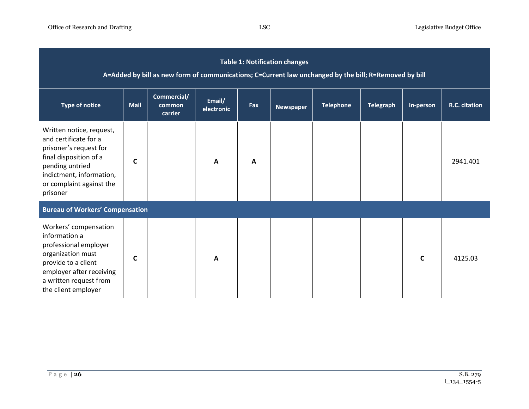|                                                                                                                                                                                              |      | A=Added by bill as new form of communications; C=Current law unchanged by the bill; R=Removed by bill |                      |     | <b>Table 1: Notification changes</b> |                  |                  |           |               |
|----------------------------------------------------------------------------------------------------------------------------------------------------------------------------------------------|------|-------------------------------------------------------------------------------------------------------|----------------------|-----|--------------------------------------|------------------|------------------|-----------|---------------|
| <b>Type of notice</b>                                                                                                                                                                        | Mail | Commercial/<br>common<br>carrier                                                                      | Email/<br>electronic | Fax | <b>Newspaper</b>                     | <b>Telephone</b> | <b>Telegraph</b> | In-person | R.C. citation |
| Written notice, request,<br>and certificate for a<br>prisoner's request for<br>final disposition of a<br>pending untried<br>indictment, information,<br>or complaint against the<br>prisoner | C    |                                                                                                       | A                    | A   |                                      |                  |                  |           | 2941.401      |
| <b>Bureau of Workers' Compensation</b>                                                                                                                                                       |      |                                                                                                       |                      |     |                                      |                  |                  |           |               |
| Workers' compensation<br>information a<br>professional employer<br>organization must<br>provide to a client<br>employer after receiving<br>a written request from<br>the client employer     | C    |                                                                                                       | A                    |     |                                      |                  |                  | C         | 4125.03       |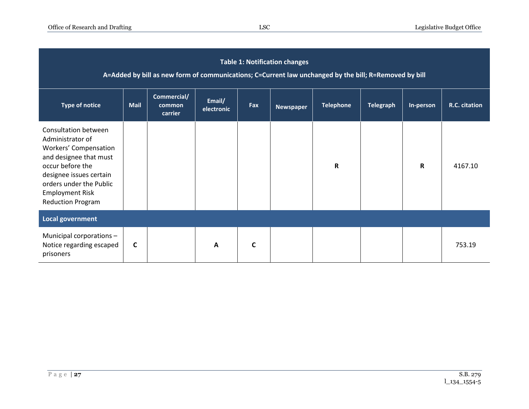|                                                                                                                                                                                                                                           |             | A=Added by bill as new form of communications; C=Current law unchanged by the bill; R=Removed by bill |                      |     | <b>Table 1: Notification changes</b> |                  |                  |             |               |
|-------------------------------------------------------------------------------------------------------------------------------------------------------------------------------------------------------------------------------------------|-------------|-------------------------------------------------------------------------------------------------------|----------------------|-----|--------------------------------------|------------------|------------------|-------------|---------------|
| <b>Type of notice</b>                                                                                                                                                                                                                     | <b>Mail</b> | Commercial/<br>common<br>carrier                                                                      | Email/<br>electronic | Fax | <b>Newspaper</b>                     | <b>Telephone</b> | <b>Telegraph</b> | In-person   | R.C. citation |
| <b>Consultation between</b><br>Administrator of<br><b>Workers' Compensation</b><br>and designee that must<br>occur before the<br>designee issues certain<br>orders under the Public<br><b>Employment Risk</b><br><b>Reduction Program</b> |             |                                                                                                       |                      |     |                                      | $\mathbf R$      |                  | $\mathbf R$ | 4167.10       |
| <b>Local government</b>                                                                                                                                                                                                                   |             |                                                                                                       |                      |     |                                      |                  |                  |             |               |
| Municipal corporations -<br>Notice regarding escaped<br>prisoners                                                                                                                                                                         | C           |                                                                                                       | $\mathbf{A}$         | C   |                                      |                  |                  |             | 753.19        |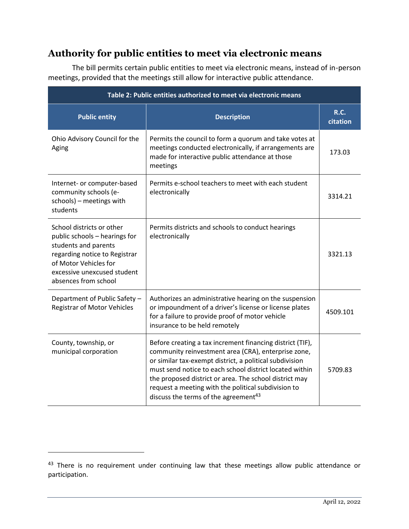# <span id="page-27-0"></span>**Authority for public entities to meet via electronic means**

The bill permits certain public entities to meet via electronic means, instead of in-person meetings, provided that the meetings still allow for interactive public attendance.

| Table 2: Public entities authorized to meet via electronic means                                                                                                                                    |                                                                                                                                                                                                                                                                                                                                                                                                             |                         |  |  |  |  |  |
|-----------------------------------------------------------------------------------------------------------------------------------------------------------------------------------------------------|-------------------------------------------------------------------------------------------------------------------------------------------------------------------------------------------------------------------------------------------------------------------------------------------------------------------------------------------------------------------------------------------------------------|-------------------------|--|--|--|--|--|
| <b>Public entity</b>                                                                                                                                                                                | <b>Description</b>                                                                                                                                                                                                                                                                                                                                                                                          | <b>R.C.</b><br>citation |  |  |  |  |  |
| Ohio Advisory Council for the<br>Aging                                                                                                                                                              | Permits the council to form a quorum and take votes at<br>meetings conducted electronically, if arrangements are<br>made for interactive public attendance at those<br>meetings                                                                                                                                                                                                                             | 173.03                  |  |  |  |  |  |
| Internet- or computer-based<br>community schools (e-<br>schools) - meetings with<br>students                                                                                                        | Permits e-school teachers to meet with each student<br>electronically                                                                                                                                                                                                                                                                                                                                       | 3314.21                 |  |  |  |  |  |
| School districts or other<br>public schools - hearings for<br>students and parents<br>regarding notice to Registrar<br>of Motor Vehicles for<br>excessive unexcused student<br>absences from school | Permits districts and schools to conduct hearings<br>electronically                                                                                                                                                                                                                                                                                                                                         | 3321.13                 |  |  |  |  |  |
| Department of Public Safety -<br><b>Registrar of Motor Vehicles</b>                                                                                                                                 | Authorizes an administrative hearing on the suspension<br>or impoundment of a driver's license or license plates<br>for a failure to provide proof of motor vehicle<br>insurance to be held remotely                                                                                                                                                                                                        | 4509.101                |  |  |  |  |  |
| County, township, or<br>municipal corporation                                                                                                                                                       | Before creating a tax increment financing district (TIF),<br>community reinvestment area (CRA), enterprise zone,<br>or similar tax-exempt district, a political subdivision<br>must send notice to each school district located within<br>the proposed district or area. The school district may<br>request a meeting with the political subdivision to<br>discuss the terms of the agreement <sup>43</sup> | 5709.83                 |  |  |  |  |  |

<sup>43</sup> There is no requirement under continuing law that these meetings allow public attendance or participation.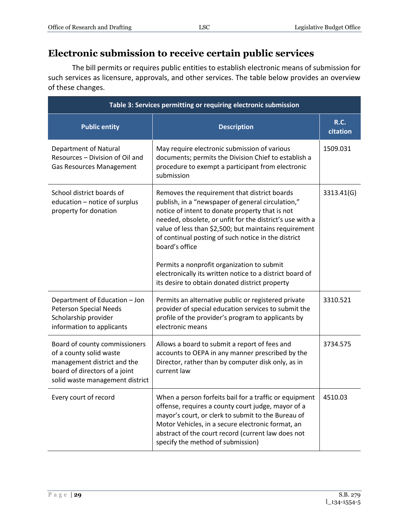# <span id="page-28-0"></span>**Electronic submission to receive certain public services**

The bill permits or requires public entities to establish electronic means of submission for such services as licensure, approvals, and other services. The table below provides an overview of these changes.

| Table 3: Services permitting or requiring electronic submission                                                                                             |                                                                                                                                                                                                                                                                                                                                                    |                         |  |  |  |  |
|-------------------------------------------------------------------------------------------------------------------------------------------------------------|----------------------------------------------------------------------------------------------------------------------------------------------------------------------------------------------------------------------------------------------------------------------------------------------------------------------------------------------------|-------------------------|--|--|--|--|
| <b>Public entity</b>                                                                                                                                        | <b>Description</b>                                                                                                                                                                                                                                                                                                                                 | <b>R.C.</b><br>citation |  |  |  |  |
| <b>Department of Natural</b><br>Resources - Division of Oil and<br><b>Gas Resources Management</b>                                                          | May require electronic submission of various<br>documents; permits the Division Chief to establish a<br>procedure to exempt a participant from electronic<br>submission                                                                                                                                                                            | 1509.031                |  |  |  |  |
| School district boards of<br>education - notice of surplus<br>property for donation                                                                         | Removes the requirement that district boards<br>publish, in a "newspaper of general circulation,"<br>notice of intent to donate property that is not<br>needed, obsolete, or unfit for the district's use with a<br>value of less than \$2,500; but maintains requirement<br>of continual posting of such notice in the district<br>board's office | 3313.41(G)              |  |  |  |  |
|                                                                                                                                                             | Permits a nonprofit organization to submit<br>electronically its written notice to a district board of<br>its desire to obtain donated district property                                                                                                                                                                                           |                         |  |  |  |  |
| Department of Education - Jon<br><b>Peterson Special Needs</b><br>Scholarship provider<br>information to applicants                                         | Permits an alternative public or registered private<br>provider of special education services to submit the<br>profile of the provider's program to applicants by<br>electronic means                                                                                                                                                              | 3310.521                |  |  |  |  |
| Board of county commissioners<br>of a county solid waste<br>management district and the<br>board of directors of a joint<br>solid waste management district | Allows a board to submit a report of fees and<br>accounts to OEPA in any manner prescribed by the<br>Director, rather than by computer disk only, as in<br>current law                                                                                                                                                                             | 3734.575                |  |  |  |  |
| Every court of record                                                                                                                                       | When a person forfeits bail for a traffic or equipment  <br>offense, requires a county court judge, mayor of a<br>mayor's court, or clerk to submit to the Bureau of<br>Motor Vehicles, in a secure electronic format, an<br>abstract of the court record (current law does not<br>specify the method of submission)                               | 4510.03                 |  |  |  |  |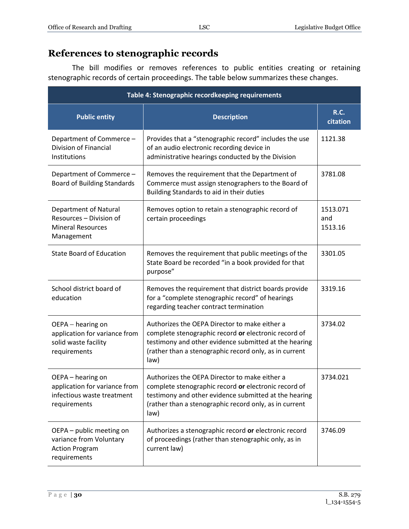# <span id="page-29-0"></span>**References to stenographic records**

The bill modifies or removes references to public entities creating or retaining stenographic records of certain proceedings. The table below summarizes these changes.

| Table 4: Stenographic recordkeeping requirements                                                 |                                                                                                                                                                                                                                  |                            |  |  |  |  |
|--------------------------------------------------------------------------------------------------|----------------------------------------------------------------------------------------------------------------------------------------------------------------------------------------------------------------------------------|----------------------------|--|--|--|--|
| <b>Public entity</b>                                                                             | <b>Description</b>                                                                                                                                                                                                               | <b>R.C.</b><br>citation    |  |  |  |  |
| Department of Commerce -<br><b>Division of Financial</b><br>Institutions                         | Provides that a "stenographic record" includes the use<br>of an audio electronic recording device in<br>administrative hearings conducted by the Division                                                                        | 1121.38                    |  |  |  |  |
| Department of Commerce -<br><b>Board of Building Standards</b>                                   | Removes the requirement that the Department of<br>Commerce must assign stenographers to the Board of<br>Building Standards to aid in their duties                                                                                | 3781.08                    |  |  |  |  |
| Department of Natural<br>Resources - Division of<br><b>Mineral Resources</b><br>Management       | Removes option to retain a stenographic record of<br>certain proceedings                                                                                                                                                         | 1513.071<br>and<br>1513.16 |  |  |  |  |
| <b>State Board of Education</b>                                                                  | Removes the requirement that public meetings of the<br>State Board be recorded "in a book provided for that<br>purpose"                                                                                                          | 3301.05                    |  |  |  |  |
| School district board of<br>education                                                            | Removes the requirement that district boards provide<br>for a "complete stenographic record" of hearings<br>regarding teacher contract termination                                                                               | 3319.16                    |  |  |  |  |
| OEPA - hearing on<br>application for variance from<br>solid waste facility<br>requirements       | Authorizes the OEPA Director to make either a<br>complete stenographic record or electronic record of<br>testimony and other evidence submitted at the hearing<br>(rather than a stenographic record only, as in current<br>law) | 3734.02                    |  |  |  |  |
| OEPA - hearing on<br>application for variance from<br>infectious waste treatment<br>requirements | Authorizes the OEPA Director to make either a<br>complete stenographic record or electronic record of<br>testimony and other evidence submitted at the hearing<br>(rather than a stenographic record only, as in current<br>law) | 3734.021                   |  |  |  |  |
| OEPA - public meeting on<br>variance from Voluntary<br><b>Action Program</b><br>requirements     | Authorizes a stenographic record or electronic record<br>of proceedings (rather than stenographic only, as in<br>current law)                                                                                                    | 3746.09                    |  |  |  |  |